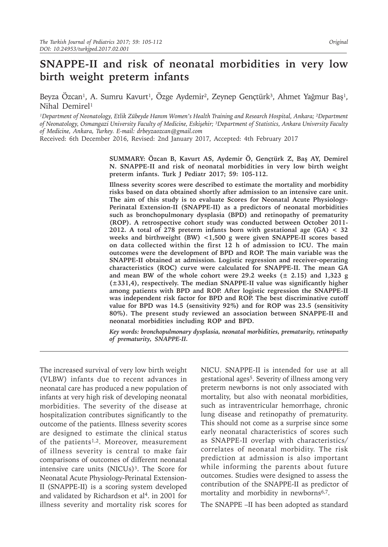# **SNAPPE-II and risk of neonatal morbidities in very low birth weight preterm infants**

Beyza Özcan<sup>1</sup>, A. Sumru Kavurt<sup>1</sup>, Özge Aydemir<sup>2</sup>, Zeynep Gençtürk<sup>3</sup>, Ahmet Yağmur Baş<sup>1</sup>, Nihal Demirel<sup>1</sup>

<sup>1</sup>Department of Neonatology, Etlik Zübeyde Hanım Women's Health Training and Research Hospital, Ankara; <sup>2</sup>Department *of Neonatology, Osmangazi University Faculty of Medicine, Eskişehir; ³Department of Statistics, Ankara University Faculty of Medicine, Ankara, Turkey. E-mail: drbeyzaozcan@gmail.com*

Received: 6th December 2016, Revised: 2nd January 2017, Accepted: 4th February 2017

**SUMMARY: Özcan B, Kavurt AS, Aydemir Ö, Gençtürk Z, Baş AY, Demirel N. SNAPPE-II and risk of neonatal morbidities in very low birth weight preterm infants. Turk J Pediatr 2017; 59: 105-112.**

**Illness severity scores were described to estimate the mortality and morbidity risks based on data obtained shortly after admission to an intensive care unit. The aim of this study is to evaluate Scores for Neonatal Acute Physiology-Perinatal Extension-II (SNAPPE-II) as a predictors of neonatal morbidities such as bronchopulmonary dysplasia (BPD) and retinopathy of prematurity (ROP). A retrospective cohort study was conducted between October 2011- 2012. A total of 278 preterm infants born with gestational age (GA) < 32 weeks and birthweight (BW) <1,500 g were given SNAPPE-II scores based on data collected within the first 12 h of admission to ICU. The main outcomes were the development of BPD and ROP. The main variable was the SNAPPE-II obtained at admission. Logistic regression and receiver-operating characteristics (ROC) curve were calculated for SNAPPE-II. The mean GA and mean BW of the whole cohort were 29.2 weeks (± 2.15) and 1,323 g (±331,4), respectively. The median SNAPPE-II value was significantly higher among patients with BPD and ROP. After logistic regression the SNAPPE-II was independent risk factor for BPD and ROP. The best discriminative cutoff value for BPD was 14.5 (sensitivity 92%) and for ROP was 23.5 (sensitivity 80%). The present study reviewed an association between SNAPPE-II and neonatal morbidities including ROP and BPD.**

*Key words: bronchopulmonary dysplasia, neonatal morbidities, prematurity, retinopathy of prematurity, SNAPPE-II.*

The increased survival of very low birth weight (VLBW) infants due to recent advances in neonatal care has produced a new population of infants at very high risk of developing neonatal morbidities. The severity of the disease at hospitalization contributes significantly to the outcome of the patients. Illness severity scores are designed to estimate the clinical status of the patients<sup>1,2</sup>. Moreover, measurement of illness severity is central to make fair comparisons of outcomes of different neonatal intensive care units (NICUs)<sup>3</sup>. The Score for Neonatal Acute Physiology-Perinatal Extension-II (SNAPPE-II) is a scoring system developed and validated by Richardson et  $al<sup>4</sup>$ . in 2001 for illness severity and mortality risk scores for

NICU. SNAPPE-II is intended for use at all gestational ages5. Severity of illness among very preterm newborns is not only associated with mortality, but also with neonatal morbidities, such as intraventricular hemorrhage, chronic lung disease and retinopathy of prematurity. This should not come as a surprise since some early neonatal characteristics of scores such as SNAPPE-II overlap with characteristics/ correlates of neonatal morbidity. The risk prediction at admission is also important while informing the parents about future outcomes. Studies were designed to assess the contribution of the SNAPPE-II as predictor of mortality and morbidity in newborns<sup>6,7</sup>.

The SNAPPE –II has been adopted as standard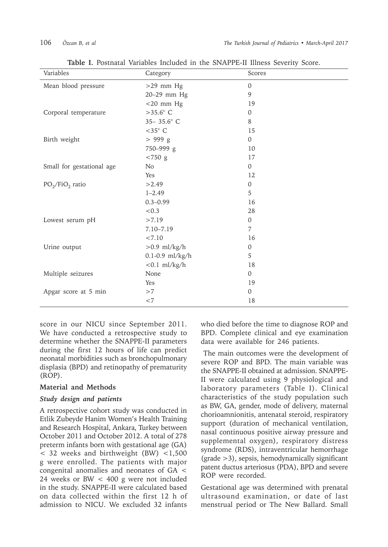| Variables                 | Category            | Scores       |
|---------------------------|---------------------|--------------|
| Mean blood pressure       | $>29$ mm Hg         | $\mathbf{0}$ |
|                           | 20-29 mm Hg         | 9            |
|                           | $<$ 20 mm Hg        | 19           |
| Corporal temperature      | $>35.6^{\circ}$ C   | $\mathbf{0}$ |
|                           | 35-35.6° C          | 8            |
|                           | $<$ 35 $^{\circ}$ C | 15           |
| Birth weight              | > 999 g             | $\mathbf{0}$ |
|                           | 750-999 g           | 10           |
|                           | $< 750$ g           | 17           |
| Small for gestational age | N <sub>o</sub>      | $\Omega$     |
|                           | Yes                 | 12           |
| $PO_2/FiO_2$ ratio        | >2.49               | $\mathbf{0}$ |
|                           | $1 - 2.49$          | 5            |
|                           | $0.3 - 0.99$        | 16           |
|                           | < 0.3               | 28           |
| Lowest serum pH           | >7.19               | $\mathbf{0}$ |
|                           | 7.10-7.19           | 7            |
|                           | < 7.10              | 16           |
| Urine output              | $>0.9$ ml/kg/h      | $\mathbf{0}$ |
|                           | $0.1 - 0.9$ ml/kg/h | 5            |
|                           | $< 0.1$ ml/kg/h     | 18           |
| Multiple seizures         | None                | $\mathbf{0}$ |
|                           | Yes                 | 19           |
| Apgar score at 5 min      | >7                  | $\mathbf{0}$ |
|                           | ${<}7$              | 18           |

**Table I.** Postnatal Variables Included in the SNAPPE-II Illness Severity Score.

score in our NICU since September 2011. We have conducted a retrospective study to determine whether the SNAPPE-II parameters during the first 12 hours of life can predict neonatal morbidities such as bronchopulmonary displasia (BPD) and retinopathy of prematurity (ROP).

### **Material and Methods**

#### *Study design and patients*

A retrospective cohort study was conducted in Etlik Zubeyde Hanim Women's Health Training and Research Hospital, Ankara, Turkey between October 2011 and October 2012. A total of 278 preterm infants born with gestational age (GA)  $<$  32 weeks and birthweight (BW)  $<$ 1,500 g were enrolled. The patients with major congenital anomalies and neonates of GA < 24 weeks or BW < 400 g were not included in the study. SNAPPE-II were calculated based on data collected within the first 12 h of admission to NICU. We excluded 32 infants

who died before the time to diagnose ROP and BPD. Complete clinical and eye examination data were available for 246 patients.

 The main outcomes were the development of severe ROP and BPD. The main variable was the SNAPPE-II obtained at admission. SNAPPE-II were calculated using 9 physiological and laboratory parameters (Table I). Clinical characteristics of the study population such as BW, GA, gender, mode of delivery, maternal chorioamnionitis, antenatal steroid, respiratory support (duration of mechanical ventilation, nasal continuous positive airway pressure and supplemental oxygen), respiratory distress syndrome (RDS), intraventricular hemorrhage (grade >3), sepsis, hemodynamically significant patent ductus arteriosus (PDA), BPD and severe ROP were recorded.

Gestational age was determined with prenatal ultrasound examination, or date of last menstrual period or The New Ballard. Small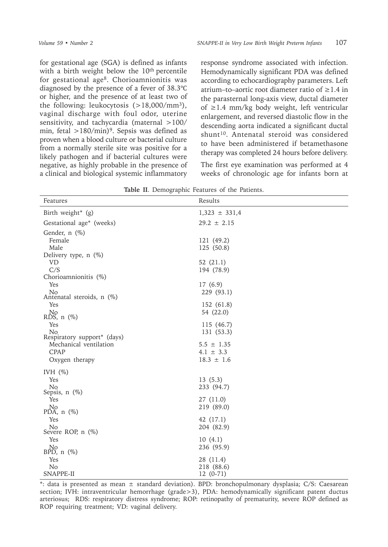for gestational age (SGA) is defined as infants with a birth weight below the 10<sup>th</sup> percentile for gestational age8. Chorioamnionitis was diagnosed by the presence of a fever of 38.3℃ or higher, and the presence of at least two of the following: leukocytosis (>18,000/mm3), vaginal discharge with foul odor, uterine sensitivity, and tachycardia (maternal >100/ min, fetal  $>180/min$ <sup>9</sup>. Sepsis was defined as proven when a blood culture or bacterial culture from a normally sterile site was positive for a likely pathogen and if bacterial cultures were negative, as highly probable in the presence of a clinical and biological systemic inflammatory

response syndrome associated with infection. Hemodynamically significant PDA was defined according to echocardiography parameters. Left atrium–to–aortic root diameter ratio of  $\geq 1.4$  in the parasternal long-axis view, ductal diameter of ≥1.4 mm/kg body weight, left ventricular enlargement, and reversed diastolic flow in the descending aorta indicated a significant ductal shunt<sup>10</sup>. Antenatal steroid was considered to have been administered if betamethasone therapy was completed 24 hours before delivery.

The first eye examination was performed at 4 weeks of chronologic age for infants born at

| <b>Table II.</b> Demographic reatures of the Patients. |                          |  |  |  |
|--------------------------------------------------------|--------------------------|--|--|--|
| Features                                               | Results                  |  |  |  |
| Birth weight* (g)                                      | $1,323 \pm 331,4$        |  |  |  |
| Gestational age* (weeks)                               | $29.2 \pm 2.15$          |  |  |  |
| Gender, n (%)<br>Female                                | 121 (49.2)               |  |  |  |
| Male                                                   | 125 (50.8)               |  |  |  |
| Delivery type, $n$ (%)                                 |                          |  |  |  |
| <b>VD</b><br>C/S                                       | 52 (21.1)                |  |  |  |
| Chorioamnionitis (%)                                   | 194 (78.9)               |  |  |  |
| Yes                                                    | 17 (6.9)                 |  |  |  |
| N <sub>o</sub><br>Antenatal steroids, n (%)            | 229 (93.1)               |  |  |  |
| Yes                                                    | 152 (61.8)               |  |  |  |
| $\overline{\text{No}}$<br>RDS, n (%)                   | 54 (22.0)                |  |  |  |
| Yes                                                    | 115 (46.7)               |  |  |  |
| N <sub>o</sub><br>Respiratory support* (days)          | 131 (53.3)               |  |  |  |
| Mechanical ventilation                                 | $5.5 \pm 1.35$           |  |  |  |
| CPAP                                                   | $4.1 \pm 3.3$            |  |  |  |
| Oxygen therapy                                         | $18.3 \pm 1.6$           |  |  |  |
| IVH $(\%)$                                             |                          |  |  |  |
| Yes                                                    | 13(5.3)                  |  |  |  |
| N <sub>o</sub><br>Sepsis, $n$ $(\%)$                   | 233 (94.7)               |  |  |  |
| Yes                                                    | 27 (11.0)                |  |  |  |
| No<br>$PD\widetilde{A}$ , n $(\%)$                     | 219 (89.0)               |  |  |  |
| Yes                                                    | 42 (17.1)                |  |  |  |
| No<br>Severe ROP, $n$ $(\%)$                           | 204 (82.9)               |  |  |  |
| Yes                                                    | 10(4.1)                  |  |  |  |
| $N0$ (%)<br>BPD, n (%)                                 | 236 (95.9)               |  |  |  |
| Yes                                                    | 28 (11.4)                |  |  |  |
| N <sub>o</sub><br>SNAPPE-II                            | 218 (88.6)<br>$12(0-71)$ |  |  |  |
|                                                        |                          |  |  |  |

**Table II**. Demographic Features of the Patients.

\*: data is presented as mean ± standard deviation). BPD: bronchopulmonary dysplasia; C/S: Caesarean section; IVH: intraventricular hemorrhage (grade>3), PDA: hemodynamically significant patent ductus arteriosus; RDS: respiratory distress syndrome; ROP: retinopathy of prematurity, severe ROP defined as ROP requiring treatment; VD: vaginal delivery.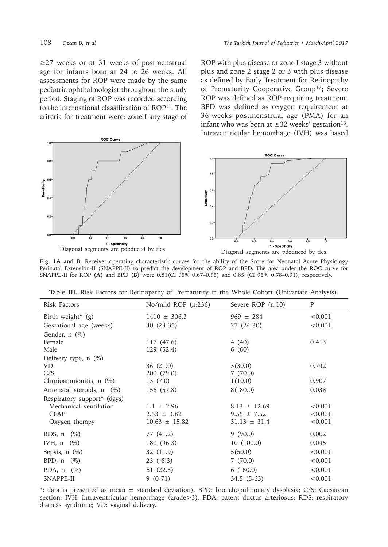≥27 weeks or at 31 weeks of postmenstrual age for infants born at 24 to 26 weeks. All assessments for ROP were made by the same pediatric ophthalmologist throughout the study period. Staging of ROP was recorded according to the international classification of ROP<sup>11</sup>. The criteria for treatment were: zone I any stage of ROP with plus disease or zone I stage 3 without plus and zone 2 stage 2 or 3 with plus disease as defined by Early Treatment for Retinopathy of Prematurity Cooperative Group<sup>12</sup>; Severe ROP was defined as ROP requiring treatment. BPD was defined as oxygen requirement at 36-weeks postmenstrual age (PMA) for an infant who was born at ≤32 weeks' gestation<sup>13</sup>. Intraventricular hemorrhage (IVH) was based



**Fig. 1A and B.** Receiver operating characteristic curves for the ability of the Score for Neonatal Acute Physiology Perinatal Extension-II (SNAPPE-II) to predict the development of ROP and BPD. The area under the ROC curve for SNAPPE-II for ROP **(A)** and BPD **(B)** were 0.81(CI 95% 0.67–0.95) and 0.85 (CI 95% 0.78–0.91), respectively.

| Risk Factors                    | No/mild ROP (n:236) | Severe ROP $(n:10)$ | $\mathbf{P}$ |
|---------------------------------|---------------------|---------------------|--------------|
| Birth weight <sup>*</sup> $(g)$ | $1410 \pm 306.3$    | $969 \pm 284$       | < 0.001      |
| Gestational age (weeks)         | $30(23-35)$         | 27 (24-30)          | < 0.001      |
| Gender, $n$ $(\%)$              |                     |                     |              |
| Female                          | 117 (47.6)          | 4(40)               | 0.413        |
| Male                            | 129 (52.4)          | 6(60)               |              |
| Delivery type, $n$ (%)          |                     |                     |              |
| <b>VD</b>                       | 36 (21.0)           | 3(30.0)             | 0.742        |
| C/S                             | 200 (79.0)          | 7(70.0)             |              |
| Chorioamnionitis, n (%)         | 13(7.0)             | 1(10.0)             | 0.907        |
| Antenatal steroids, n (%)       | 156 (57.8)          | 8 ( 80.0)           | 0.038        |
| Respiratory support* (days)     |                     |                     |              |
| Mechanical ventilation          | $1.1 \pm 2.96$      | $8.13 \pm 12.69$    | < 0.001      |
| <b>CPAP</b>                     | $2.53 \pm 3.82$     | $9.55 \pm 7.52$     | < 0.001      |
| Oxygen therapy                  | $10.63 \pm 15.82$   | $31.13 \pm 31.4$    | < 0.001      |
| RDS, $n$ $(\%)$                 | 77 (41.2)           | 9(90.0)             | 0.002        |
| IVH, $n \ (\%)$                 | 180 (96.3)          | 10(100.0)           | 0.045        |
| Sepsis, $n$ $(\%)$              | 32 (11.9)           | 5(50.0)             | < 0.001      |
| BPD, $n \ (\%)$                 | 23(8.3)             | 7(70.0)             | < 0.001      |
| PDA, $n$ $(\%)$                 | 61 (22.8)           | 6(60.0)             | < 0.001      |
| SNAPPE-II                       | $9(0-71)$           | $34.5(5-63)$        | < 0.001      |

**Table III.** Risk Factors for Retinopathy of Prematurity in the Whole Cohort (Univariate Analysis).

\*: data is presented as mean ± standard deviation). BPD: bronchopulmonary dysplasia; C/S: Caesarean section; IVH: intraventricular hemorrhage (grade>3), PDA: patent ductus arteriosus; RDS: respiratory distress syndrome; VD: vaginal delivery.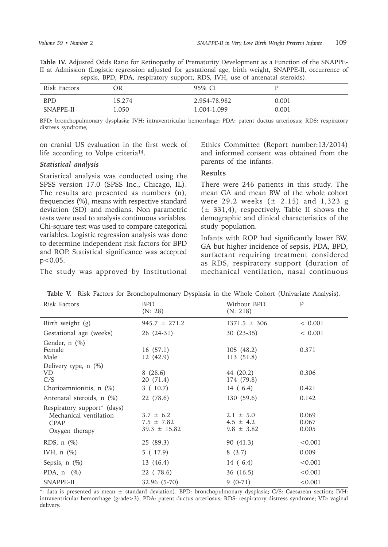**Table IV.** Adjusted Odds Ratio for Retinopathy of Prematurity Development as a Function of the SNAPPE-II at Admission (Logistic regression adjusted for gestational age, birth weight, SNAPPE-II, occurrence of sepsis, BPD, PDA, respiratory support, RDS, IVH, use of antenatal steroids).

| Risk Factors | OR     | 95% CI       |       |
|--------------|--------|--------------|-------|
| <b>BPD</b>   | 15.274 | 2.954-78.982 | 0.001 |
| SNAPPE-II    | l.050  | 1.004-1.099  | 0.001 |

BPD: bronchopulmonary dysplasia; IVH: intraventricular hemorrhage; PDA: patent ductus arteriosus; RDS: respiratory distress syndrome;

on cranial US evaluation in the first week of life according to Volpe criteria<sup>14</sup>.

# *Statistical analysis*

Statistical analysis was conducted using the SPSS version 17.0 (SPSS Inc., Chicago, IL). The results are presented as numbers (n), frequencies (%), means with respective standard deviation (SD) and medians. Non parametric tests were used to analysis continuous variables. Chi-square test was used to compare categorical variables. Logistic regression analysis was done to determine independent risk factors for BPD and ROP. Statistical significance was accepted  $p<0.05$ .

The study was approved by Institutional

Ethics Committee (Report number:13/2014) and informed consent was obtained from the parents of the infants.

#### **Results**

There were 246 patients in this study. The mean GA and mean BW of the whole cohort were 29.2 weeks  $(± 2.15)$  and 1,323 g  $(\pm 331,4)$ , respectively. Table II shows the demographic and clinical characteristics of the study population.

Infants with ROP had significantly lower BW, GA but higher incidence of sepsis, PDA, BPD, surfactant requiring treatment considered as RDS, respiratory support (duration of mechanical ventilation, nasal continuous

| Risk Factors                                                                                | <b>BPD</b><br>(N: 28)                               | Without BPD<br>(N: 218)                          | P                       |
|---------------------------------------------------------------------------------------------|-----------------------------------------------------|--------------------------------------------------|-------------------------|
| Birth weight (g)                                                                            | $945.7 \pm 271.2$                                   | $1371.5 \pm 306$                                 | < 0.001                 |
| Gestational age (weeks)                                                                     | 26 (24-31)                                          | $30(23-35)$                                      | < 0.001                 |
| Gender, $n$ $(\%)$<br>Female<br>Male                                                        | 16(57.1)<br>12 (42.9)                               | 105(48.2)<br>113 (51.8)                          | 0.371                   |
| Delivery type, $n$ $(\%)$<br>VD<br>C/S                                                      | 8(28.6)<br>20 (71.4)                                | 44 (20.2)<br>174 (79.8)                          | 0.306                   |
| Chorioamnionitis, n (%)                                                                     | 3(10.7)                                             | 14 (6.4)                                         | 0.421                   |
| Antenatal steroids, n (%)                                                                   | 22 (78.6)                                           | 130 (59.6)                                       | 0.142                   |
| Respiratory support <sup>*</sup> (days)<br>Mechanical ventilation<br>CPAP<br>Oxygen therapy | $3.7 \pm 6.2$<br>$7.5 \pm 7.82$<br>$39.3 \pm 15.82$ | $2.1 \pm 5.0$<br>$4.5 \pm 4.2$<br>$9.8 \pm 3.82$ | 0.069<br>0.067<br>0.005 |
| RDS, $n$ $(\%)$                                                                             | 25 (89.3)                                           | 90 (41.3)                                        | < 0.001                 |
| IVH, $n$ $(\%)$                                                                             | 5 (17.9)                                            | 8(3.7)                                           | 0.009                   |
| Sepsis, $n$ $(\%)$                                                                          | 13 (46.4)                                           | 14 (6.4)                                         | < 0.001                 |
| PDA, $n \ (\%)$                                                                             | 22 (78.6)                                           | 36 (16.5)                                        | < 0.001                 |
| SNAPPE-II                                                                                   | 32.96 (5-70)                                        | $9(0-71)$                                        | < 0.001                 |

**Table V.** Risk Factors for Bronchopulmonary Dysplasia in the Whole Cohort (Univariate Analysis).

\*: data is presented as mean ± standard deviation). BPD: bronchopulmonary dysplasia; C/S: Caesarean section; IVH: intraventricular hemorrhage (grade>3), PDA: patent ductus arteriosus; RDS: respiratory distress syndrome; VD: vaginal delivery.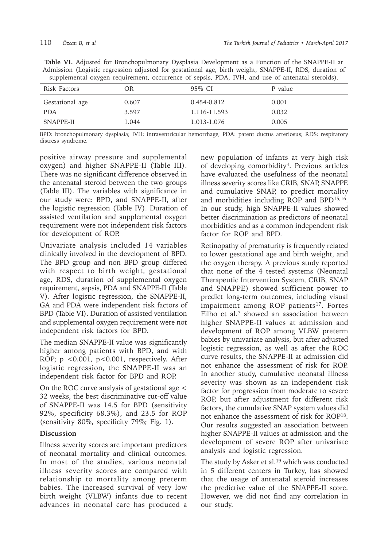|  | Table VI. Adjusted for Bronchopulmonary Dysplasia Development as a Function of the SNAPPE-II at        |  |  |  |  |
|--|--------------------------------------------------------------------------------------------------------|--|--|--|--|
|  | Admission (Logistic regression adjusted for gestational age, birth weight, SNAPPE-II, RDS, duration of |  |  |  |  |
|  | supplemental oxygen requirement, occurrence of sepsis, PDA, IVH, and use of antenatal steroids).       |  |  |  |  |

| Risk Factors    | ЭR    | 95% CI       | P value |
|-----------------|-------|--------------|---------|
| Gestational age | 0.607 | 0.454-0.812  | 0.001   |
| <b>PDA</b>      | 3.597 | 1.116-11.593 | 0.032   |
| SNAPPE-II       | 1.044 | 1.013-1.076  | 0.005   |
|                 |       |              |         |

BPD: bronchopulmonary dysplasia; IVH: intraventricular hemorrhage; PDA: patent ductus arteriosus; RDS: respiratory distress syndrome.

positive airway pressure and supplemental oxygen) and higher SNAPPE-II (Table III). There was no significant difference observed in the antenatal steroid between the two groups (Table III). The variables with significance in our study were: BPD, and SNAPPE-II, after the logistic regression (Table IV). Duration of assisted ventilation and supplemental oxygen requirement were not independent risk factors for development of ROP.

Univariate analysis included 14 variables clinically involved in the development of BPD. The BPD group and non BPD group differed with respect to birth weight, gestational age, RDS, duration of supplemental oxygen requirement, sepsis, PDA and SNAPPE-II (Table V). After logistic regression, the SNAPPE-II, GA and PDA were independent risk factors of BPD (Table VI). Duration of assisted ventilation and supplemental oxygen requirement were not independent risk factors for BPD.

The median SNAPPE-II value was significantly higher among patients with BPD, and with ROP; p <0.001, p<0.001, respectively. After logistic regression, the SNAPPE-II was an independent risk factor for BPD and ROP.

On the ROC curve analysis of gestational age < 32 weeks, the best discriminative cut-off value of SNAPPE-II was 14.5 for BPD (sensitivity 92%, specificity 68.3%), and 23.5 for ROP (sensitivity 80%, specificity 79%; Fig. 1).

# **Discussion**

Illness severity scores are important predictors of neonatal mortality and clinical outcomes. In most of the studies, various neonatal illness severity scores are compared with relationship to mortality among preterm babies. The increased survival of very low birth weight (VLBW) infants due to recent advances in neonatal care has produced a new population of infants at very high risk of developing comorbidity4. Previous articles have evaluated the usefulness of the neonatal illness severity scores like CRIB, SNAP, SNAPPE and cumulative SNAP, to predict mortality and morbidities including ROP and BPD15,16. In our study, high SNAPPE-II values showed better discrimination as predictors of neonatal morbidities and as a common independent risk factor for ROP and BPD.

Retinopathy of prematurity is frequently related to lower gestational age and birth weight, and the oxygen therapy. A previous study reported that none of the 4 tested systems (Neonatal Therapeutic Intervention System, CRIB, SNAP and SNAPPE) showed sufficient power to predict long-term outcomes, including visual impairment among ROP patients<sup>17</sup>. Fortes Filho et al.<sup>7</sup> showed an association between higher SNAPPE-II values at admission and development of ROP among VLBW preterm babies by univariate analysis, but after adjusted logistic regression, as well as after the ROC curve results, the SNAPPE-II at admission did not enhance the assessment of risk for ROP. In another study, cumulative neonatal illness severity was shown as an independent risk factor for progression from moderate to severe ROP, but after adjustment for different risk factors, the cumulative SNAP system values did not enhance the assessment of risk for ROP18. Our results suggested an association between higher SNAPPE-II values at admission and the development of severe ROP after univariate analysis and logistic regression.

The study by Asker et al.<sup>19</sup> which was conducted in 5 different centers in Turkey, has showed that the usage of antenatal steroid increases the predictive value of the SNAPPE-II score. However, we did not find any correlation in our study.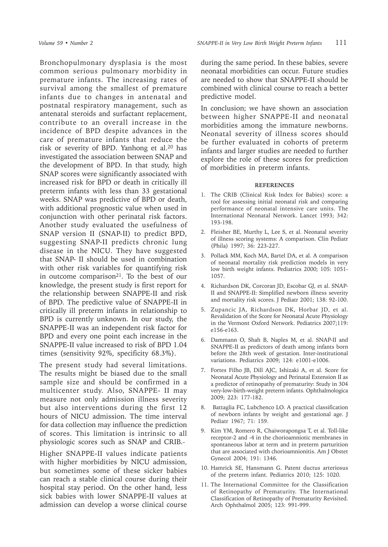Bronchopulmonary dysplasia is the most common serious pulmonary morbidity in premature infants. The increasing rates of survival among the smallest of premature infants due to changes in antenatal and postnatal respiratory management, such as antenatal steroids and surfactant replacement, contribute to an overall increase in the incidence of BPD despite advances in the care of premature infants that reduce the risk or severity of BPD. Yanhong et al.20 has investigated the association between SNAP and the development of BPD. In that study, high SNAP scores were significantly associated with increased risk for BPD or death in critically ill preterm infants with less than 33 gestational weeks. SNAP was predictive of BPD or death, with additional prognostic value when used in conjunction with other perinatal risk factors. Another study evaluated the usefulness of SNAP version II (SNAP-II) to predict BPD, suggesting SNAP-II predicts chronic lung disease in the NICU. They have suggested that SNAP- II should be used in combination with other risk variables for quantifying risk in outcome comparison $21$ . To the best of our knowledge, the present study is first report for the relationship between SNAPPE-II and risk of BPD. The predictive value of SNAPPE-II in critically ill preterm infants in relationship to BPD is currently unknown. In our study, the SNAPPE-II was an independent risk factor for BPD and every one point each increase in the SNAPPE-II value increased to risk of BPD 1.04 times (sensitivity 92%, specificity 68.3%).

The present study had several limitations. The results might be biased due to the small sample size and should be confirmed in a multicenter study. Also, SNAPPE- II may measure not only admission illness severity but also interventions during the first 12 hours of NICU admission. The time interval for data collection may influence the prediction of scores. This limitation is intrinsic to all physiologic scores such as SNAP and CRIB.

Higher SNAPPE-II values indicate patients with higher morbidities by NICU admission, but sometimes some of these sicker babies can reach a stable clinical course during their hospital stay period. On the other hand, less sick babies with lower SNAPPE-II values at admission can develop a worse clinical course

during the same period. In these babies, severe neonatal morbidities can occur. Future studies are needed to show that SNAPPE-II should be combined with clinical course to reach a better predictive model.

In conclusion; we have shown an association between higher SNAPPE-II and neonatal morbidities among the immature newborns. Neonatal severity of illness scores should be further evaluated in cohorts of preterm infants and larger studies are needed to further explore the role of these scores for prediction of morbidities in preterm infants.

#### **REFERENCES**

- 1. The CRIB (Clinical Risk Index for Babies) score: a tool for assessing initial neonatal risk and comparing performance of neonatal intensive care units. The International Neonatal Network. Lancet 1993; 342: 193-198.
- 2. Fleisher BE, Murthy L, Lee S, et al. Neonatal severity of illness scoring systems: A comparison. Clin Pediatr (Phila) 1997; 36: 223-227.
- 3. Pollack MM, Koch MA, Bartel DA, et al. A comparison of neonatal mortality risk prediction models in very low birth weight infants. Pediatrics 2000; 105: 1051- 1057.
- 4. Richardson DK, Corcoran JD, Escobar GJ, et al. SNAP-II and SNAPPE-II: Simplified newborn illness severity and mortality risk scores. J Pediatr 2001; 138: 92-100.
- 5. Zupancic JA, Richardson DK, Horbar JD, et al. Revalidation of the Score for Neonatal Acute Physiology in the Vermont Oxford Network. Pediatrics 2007;119: e156-e163.
- 6. Dammann O, Shah B, Naples M, et al. SNAP-II and SNAPPE-II as predictors of death among infants born before the 28th week of gestation. Inter-institutional variations. Pediatrics 2009; 124: e1001-e1006.
- 7. Fortes Filho JB, Dill AJC, Ishizaki A, et al. Score for Neonatal Acute Physiology and Perinatal Extension II as a predictor of retinopathy of prematurity: Study in 304 very-low-birth-weight preterm infants. Ophthalmologica 2009; 223: 177-182.
- 8. Battaglia FC, Lubchenco LO. A practical classification of newborn infants by weight and gestational age. J Pediatr 1967; 71: 159.
- 9. Kim YM, Romero R, Chaiworapongsa T, et al. Toll-like receptor-2 and -4 in the chorioamniotic membranes in spontaneous labor at term and in preterm parturition that are associated with chorioamnionitis. Am J Obstet Gynecol 2004; 191: 1346.
- 10. Hamrick SE, Hansmann G. Patent ductus arteriosus of the preterm infant. Pediatrics 2010; 125: 1020.
- 11. The International Committee for the Classification of Retinopathy of Prematurity. The International Classification of Retinopathy of Prematurity Revisited. Arch Ophthalmol 2005; 123: 991-999.